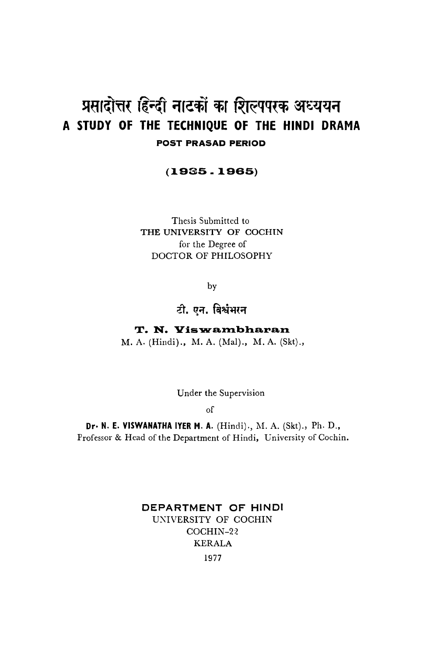# प्रसादोत्तर हिन्दी नाटकों का शिल्पपरक अध्ययन A STUDY OF THE TECHNIQUE OF THE HINDI DRAMA **POST PRASAD PERIOD**

## $(1935.1965)$

Thesis Submitted to THE UNIVERSITY OF COCHIN for the Degree of DOCTOR OF PHILOSOPHY

by

# टी. एन. विश्वंभरन

T. N. Viswambharan M. A. (Hindi)., M. A. (Mal)., M. A. (Skt).,

Under the Supervision

<sub>of</sub>

Dr. N. E. VISWANATHA IYER M. A. (Hindi)., M. A. (Skt)., Ph. D., Professor & Head of the Department of Hindi, University of Cochin.

# DEPARTMENT OF HINDI UNIVERSITY OF COCHIN COCHIN-22 **KERALA** 1977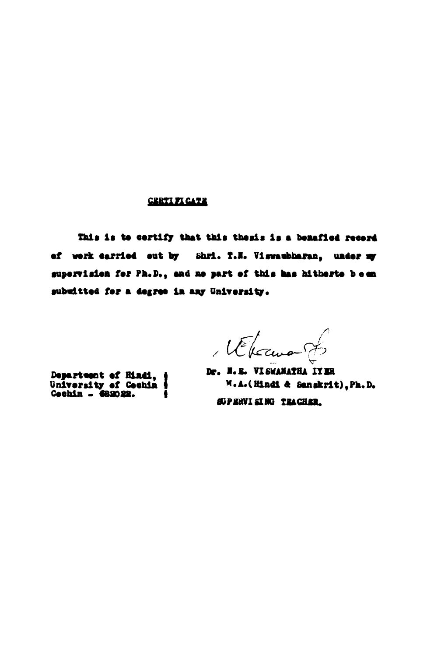#### **CERTIFICATE**

This is to certify that this thesis is a benafied recerd of work carried out by Shri. T.M. Viswaubharan, under my supervision for Ph.D., and no part of this has hitherto been subuitted for a degree in any University.

l'Elecunion

Department of Hindi,<br>University of Cechin<br>Cechin - 682022.

Dr. N. R. VI SWANATHA IYER M.A.(Hindi & Sangkrit), Ph.D. **SUPERVISING TEACHER.**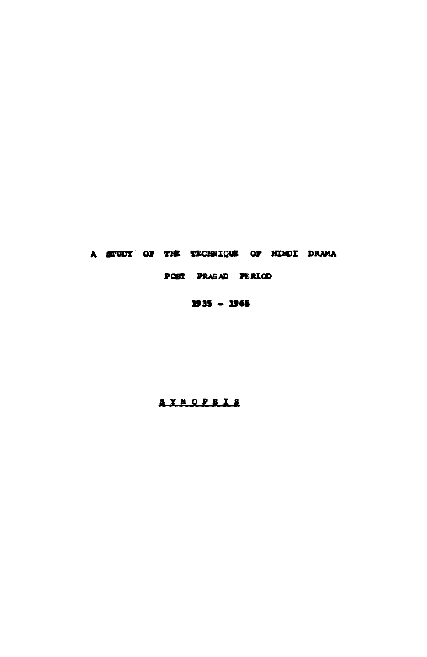## A STUDY OF THE TECHNIQUE OF HINDI DRAMA

## POST PRASAD PERIOD

# 1935 - 1965

# **AYNOPSIA**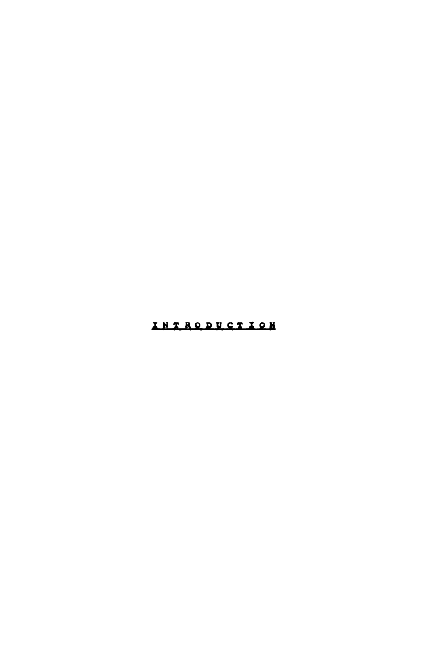# INTRODUCTION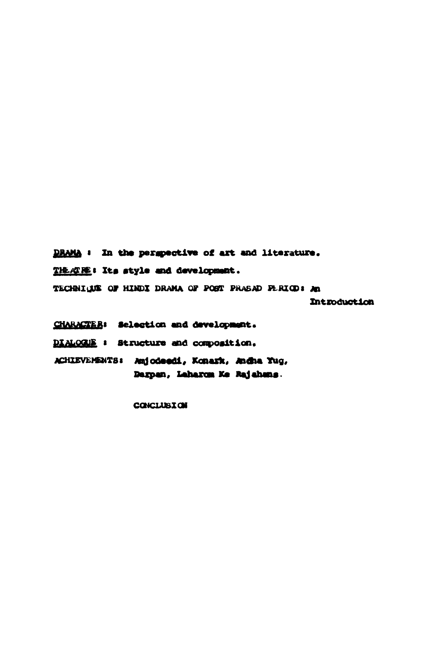DRAMA : In the perspective of art and literature. THEATHE: Its style and development. TECHNIQUE OF HINDI DRAMA OF POST PRASAD FERIOD: An Introduction

Darpan, Laharon Ke Rajahang.

CHARACTER: Selection and development. DIALOGUE : Structure and composition. ACHIEVEMENTS: Amjodeedi, Konark, Andha Yug,

**CONCLUSION**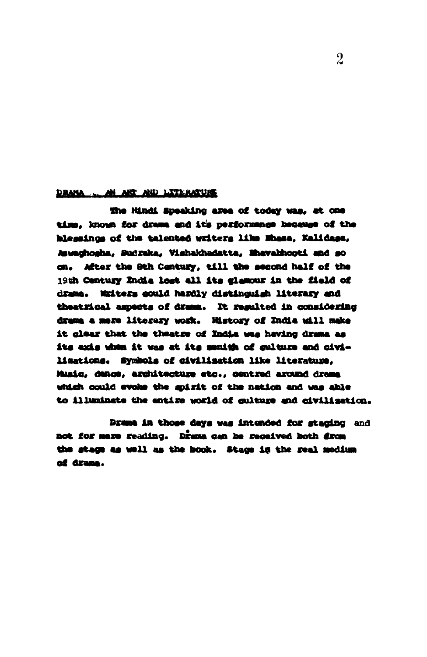#### DRAMA AN ART AND LITERATURE

the Hindi Speaking area of today was, at one time, known for drama and it's performance because of the hlessings of the talented writers like Mhasa, Kalidasa, Javaghosha, Sudraka, Vishakhadatta, Mhavabhooti and so on. After the Sth Century, till the second half of the 19th Century India lost all its glamour in the field of drama. Midters could hardly distinguish literary and theatrical aspects of drams. It resulted in considering drama a mere literary work. Mistory of India will make it glear that the theatre of India was having drama as its axis when it was at its menith of sulture and civilizations. Symbols of civilization like literature, Music, denow, architecture etc., centred around drame which could evoke the spirit of the nation and was able to illuminate the entire world of gulture and civilization.

Drame in those days was intended for staging and not for mere reading. Drame can be received both drom the stage as well as the book. Stage is the real medium of drama.

 $\overline{2}$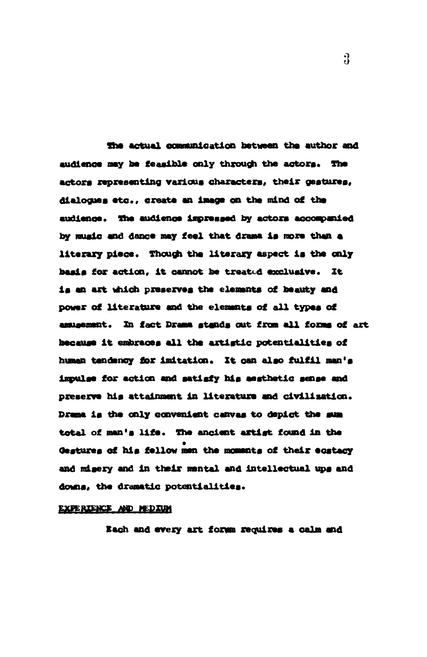The actual communication between the author and audience may be feasible only through the actors. The actors representing various characters, their gestures, dialogues etc., create an image on the mind of the audience. The audience impressed by actors accompanied by music and dance may feel that drama is more than a literary piece. Though the literary aspect is the only basis for action, it cannot be treated exclusive. It is an art which preserves the elements of beauty and power of literature and the elements of all types of assusement. In fact Drama stands out from all forms of art because it embraces all the artistic potentialities of human tendency for imitation. It can also fulfil man's impulse for action and satisfy his aesthetic sense and preserve his attainment in literature and civilization. Drama is the only convenient canvas to depict the sum total of man's life. The ancient artist found in the Gestures of his fellow men the moments of their ecstacy and misery and in their mental and intellectual ups and downs, the dramatic potentialities.

#### EXPERIENCE AND MEDIUM

Each and every art formm requires a calm and

 $\Omega$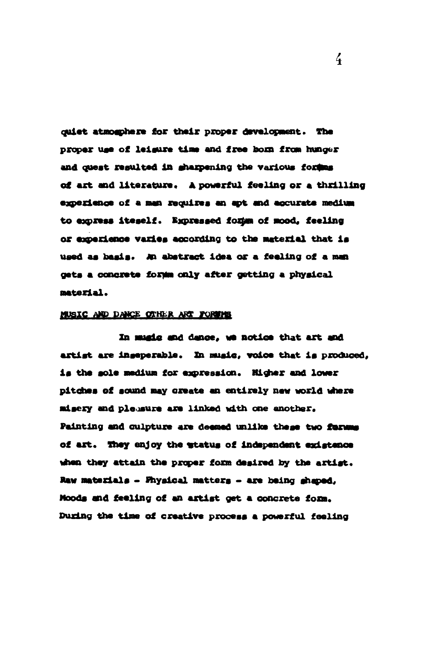quiet atmogphere for their proper development. The proper use of leigure time and free born from hunger and quest resulted in sharpening the various fordes of art and literature. A powerful feeling or a thrilling experience of a man requires an apt and accurate medium to express iteself. Expressed form of mood, feeling or experience varies according to the material that is used as basis. An abstract idea or a feeling of a man gets a concrete form only after getting a physical material.

### MUSIC AND DANCE OTHER ART FORWING

In mugic and dance, we notice that art and artist are inseperable. In music, voice that is produced, is the sole medium for expression. Higher and lower pitches of sound may create an entirely new world where misery and pleasure are linked with one another. Painting and culpture are deemed unlike these two furums of art. They enjoy the status of independent existence when they attain the proper form desired by the artist. Raw materials - Fhysical matters - are being shaped, Moods and feeling of an artist get a concrete form. During the time of creative process a powerful feeling

 $\frac{7}{4}$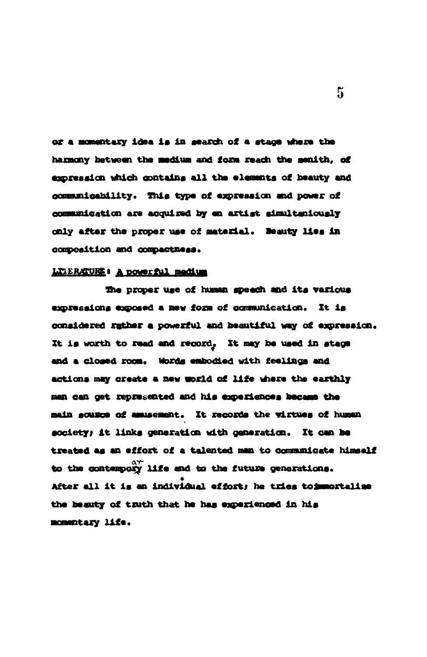or a momentary idea is in search of a stage where the harmony between the medium and form reach the senith, of expression which contains all the elements of beauty and communicability. This type of expression and power of communication are acquired by en artist simultaniously only after the proper use of material. Beauty lies in composition and compactness.

#### LITERATURE: A powerful medium

The proper use of human speech and its various expressions exposed a new form of communication. It is considered rather a powerful and beautiful way of expression. It is worth to read and record, It may be used in stage and a closed room. Words embodied with feelings and actions may create a new world of life where the earthly man can get represented and his experiences became the main sousce of amusement. It records the virtues of human society; it links generation with generation. It can be treated as an effort of a talented man to communicate himself to the contempory life and to the future generations. After all it is an individual effort; he tries toimmortalise the beauty of truth that he has experienced in his momentary life.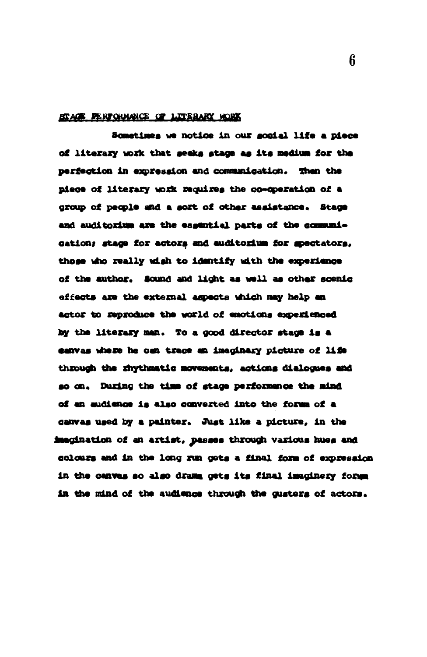### STACE FERFOLMANCE OF LITERARY WORK

Sometimes we notice in our social life a piece of literary work that seeks stage as its medium for the perfection in expression and communication. Then the piece of literary work requires the co-operation of a group of people and a sort of other assistance. Stage and auditorium are the essential parts of the communication; stage for actors and auditorium for spectators, those who really wish to identify with the experience of the author. Sound and light as well as other scenic effects are the external aspects which may help an actor to reproduce the world of emotions experienced by the literary man. To a good director stage is a canvas where he can trace an imaginary picture of life through the rhythmatic movements, actions dialogues and so on. During the time of stage performance the mind of an audience is also converted into the forum of a canvas used by a painter. Just like a picture, in the imagination of an artist, passes through various hues and colours and in the long run gets a final form of expression in the cenves so also drame gets its final imaginery forms in the mind of the audience through the gusters of actors.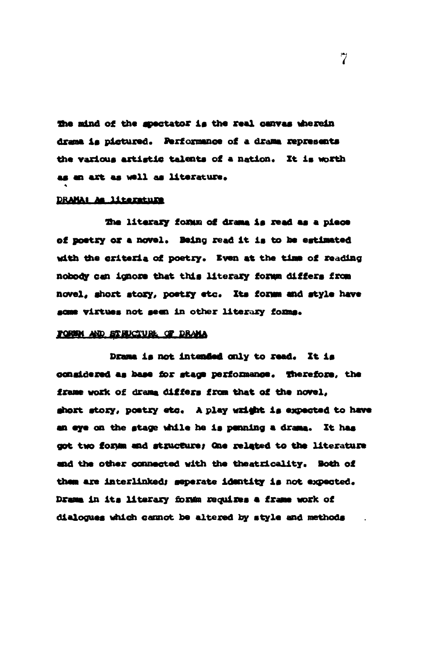the mind of the spectator is the real canvas wherein drama is pictured. Performance of a drama represents the various artistic talents of a nation. It is worth as an art as well as literature.

#### DRAMAI As literature

The literary forms of drama is read as a piece of poetry or a novel. Being read it is to be estimated with the criteria of poetry. Even at the time of reading nobody can ignore that this literary forms differs from novel, short story, poetry etc. Its forms and style have some virtues not seen in other literary forms.

#### FOREM AND STRUCTURE OF DRAMA

Drama is not intended only to read. It is congidered as base for stage performance. Therefore, the frame work of drama differs from that of the novel, short story, poetry etc. A play wright is expected to have an eye on the stage while he is penning a drama. It has got two forms and structure; One related to the literature and the other connected with the theatricality. Both of them are interlinked; seperate identity is not expected. Drama in its literary forms requires a frame work of dialogues which cannot be altered by style and methods

 $\overline{7}$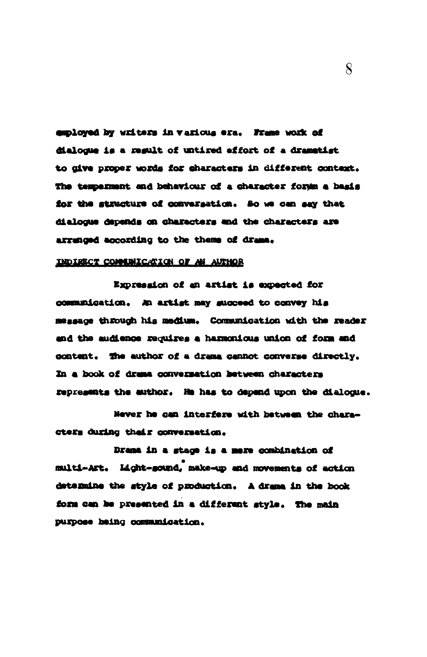employed by writers in various era. Frame work of dialogue is a regult of untired effort of a dramatist to give proper words for characters in different context. The temperment and behaviour of a character form a basis for the structure of conversation. So we can say that dialogue depends on characters and the characters are arranged according to the thems of drama.

### INDIRECT COMMUNICATION OF AN AUTHOR

Expression of an artist is expected for communication. An artist may succeed to convey his message through his medium. Communication with the reader and the audience requires a harmonious union of form and content. The author of a drama cannot converse directly. In a book of drama conversation between characters represents the author. He has to depend upon the dialogue.

Never he can interfere with between the characters during their conversation.

Drama in a stage is a mere combination of multi-Art. Light-sound, make-up and movements of action determine the style of production. A drama in the book form can be presented in a different style. The main purpose heing communication.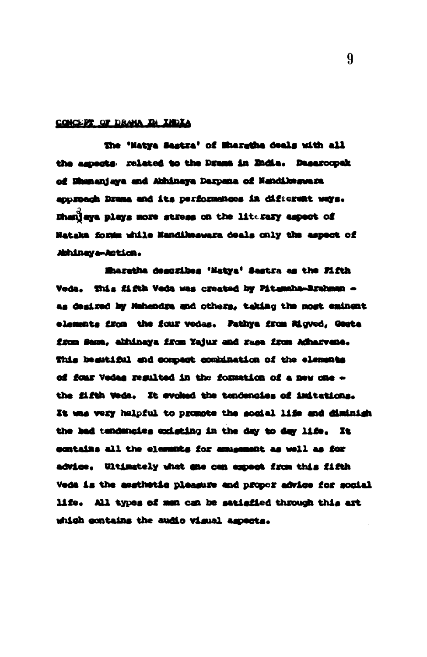#### CONCEPT OF DRAHA IN INDIA

The 'Natya Sastra' of Musratha deals with all the aspects: related to the Drama in Endia. Dasarocoak of Dhananjaya and Abhinaya Daxpana of Nancilleaguara approach Drama and its performances in different ways. Bhaniaya plays more stress on the literary aspect of Nataka form while Nandikeswara deals only the aspect of Athineya-Action.

Mharatha degoribes 'Natya' Sastra as the Fifth Veda. This fifth Veda was created by Pitemaha-Brahman as desired by Mahendra and others, taking the most eminent elements from the four vedas. Pathya from Migved, Gesta from Sama, abhinaya from Yajur and rasa from Adharvana. This beautiful and compact combination of the elements of four Vedas resulted in the formation of a new one the fifth Weda. It evoked the tendencies of initations. It was very helpful to promote the social life and diminish the had tendencies existing in the day to day life. It contains all the elements for amusement as well as for advice. Ultimately what one can expect from this fifth Veda is the assthatic pleasure and proper advice for social life. All types of men can be satisfied through this art which contains the audio visual aspects.

 $9 -$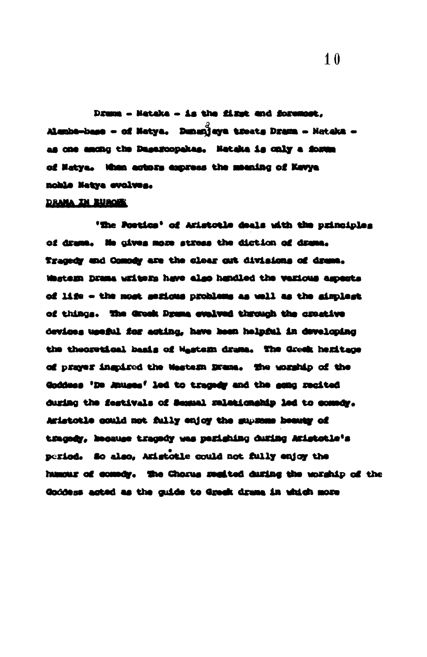Drums - Heteke - is the fixet and foremost. Alembe-base - of Natya. Denunjaya treats Drama - Nataka as one among the Dagazoopakas. Nataka is only a forma of Natya. When actors express the meaning of Kevya noble Natya evolves.

#### **DRAMA IN EUROPE**

'The Postics' of Aristotle deals with the principles of drame. He gives more stress the diction of drame. Tracedy and Compdy are the clear cut divisions of drama. Western Drama writers have also handled the various aspects of life - the most serious problems as well as the simplest of things. The Greek Drams evalved through the creetive devices useful for esting, heve been helpful in developing the theoretical basis of Wastern drame. The Greak hemitage of prayer inspired the Mestern Brane. The worship of the Goddess 'De Anuges' led to tragedy and the gong recited during the festivals of Semanal relationship led to comedy. Aristotle could not fully enjoy the supreme beauty of tragedy, hecause tragedy was perishing during Aristotle's period. So also, Aristotle could not fully enjoy the humour of coundy. The Chorus resited during the worship of the Goddess acted as the cuide to Greek drama in which more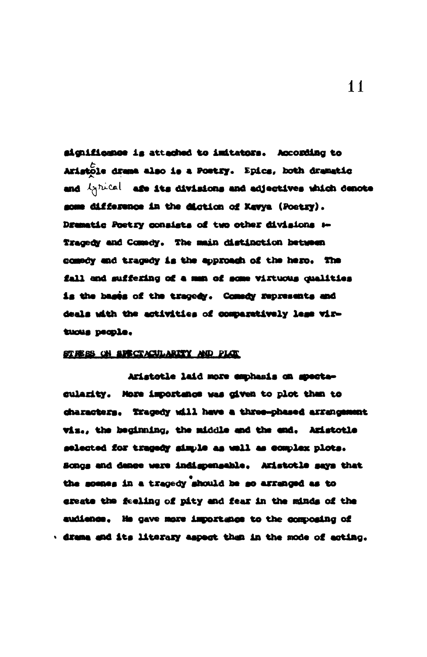aignificance is attached to imitators. According to Aristole drama also is a Postry. Epics, both dramatic and ignical age its divisions and adjectives which denote some difference in the diction of Kavya (Poetry). Dramatic Poetry consists of two other divisions 1-Tragedy and Comedy. The main distinction between comedy and tracedy is the approach of the hero. The fall and suffering of a man of some virtuous qualities is the bases of the tragedy. Comedy represents and deals with the activities of comparatively less virtuous people.

#### STREES ON SPECTACULARITY AND PLOT

Aristotle laid more emphasis on spectacularity. More importance was given to plot than to characters. Tragedy will have a three-phased arrangement viz., the heainning, the middle and the end. Aristotle selected for tragedy simple as well as complex plots. Songs and dance were indispensable. Aristotle says that the somes in a tracedy should be so arranged as to ereate the feeling of pity and fear in the minds of the audience. He gave more importance to the composing of · drama and its literary aspect than in the mode of acting.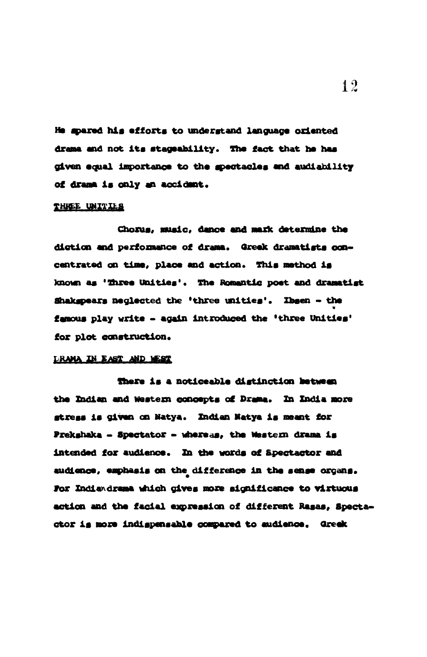He spared his efforts to understand language oriented drama and not its stageability. The fact that he has given equal importance to the spectacles and audiability of drama is only an accident.

#### THREE UNITIES

Chorus, music, dance and mark determine the diction and performance of drama. Greak dramatists concentrated on time, place and action. This method is known as 'Three Unities'. The Romantic poet and dramatist Shakspears neglected the 'three unities'. Ibsen - the famous play write - again introduced the 'three Unities' for plot construction.

#### **DRAMA IN EAST AND WEST**

There is a noticeable distinction between the Indian and Western concepts of Drama. In India more stress is given on Natya. Indian Natya is meant for Prekshaka - Spectator - whereas, the Western drama is intended for audience. In the words of Spectactor and audience, emphasis on the difference in the sense organs. For Indiandrama which cives more significance to virtuous action and the facial expression of different Rasas, Spectactor is more indispensable compared to audience. Greek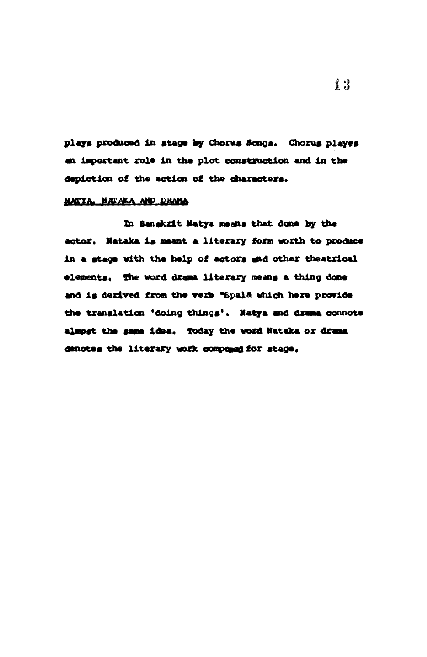plays produced in stage by Chorus Songs. Chorus playes an important role in the plot construction and in the depiction of the action of the characters.

#### NATYA. NATAKA AND DRAMA

In Sangkrit Natya means that done by the actor. Nataka is meant a literary form worth to produce in a stage with the help of actors and other theatrical elements, The word drama literary means a thing done and is derived from the verb "Spald which here provide the translation 'doing things'. Natya and drama connote almost the same idea. Today the word Nataka or drama denotes the literary work composed for stage.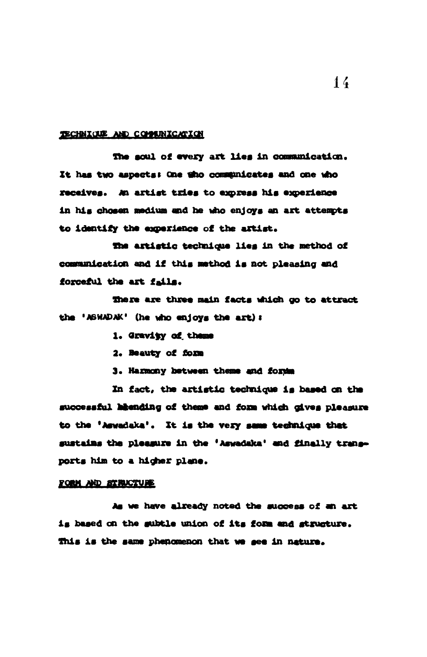#### TECHNICUE AND COMMUNICATION

The soul of every art lies in communication. It has two aspects: One tho communicates and one who receives. An artist tries to express his experience in his chosen medium and he who enjoys an art attempts to identify the experience of the artist.

The artistic technique lies in the method of communication and if this method is not pleasing and forceful the art fails.

There are three main facts which go to attract the 'ASWADAK' (he who enjoys the art) :

- 1. Gravity of theme
- 2. Beauty of form

3. Harmony between theme and forms

In fact, the artistic technique is based on the successful heending of theme and form which gives pleasure to the 'Aswadaka'. It is the very same technique that sustains the pleasure in the 'Aswadaka' and finally transports him to a higher plane.

#### FORM AND STRUCTURE

As we have already noted the success of an art is based on the subtle union of its form and structure. This is the same phenomenon that we see in nature.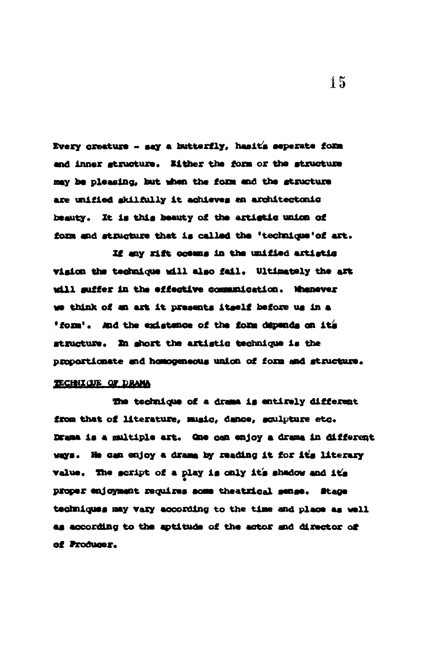Every creature - say a butterfly, hasit's seperate form and inner structure. Either the form or the structure may be pleasing, but when the form and the structure are unified skilfully it achieves an architectonic beauty. It is this beauty of the artistic union of form and structure that is called the 'technique' of art.

If any rift oceans in the unified artistic vision the technique will also fail. Ultimately the art will suffer in the effective communication. Whenever we think of an art it presents itself before us in a "form'. And the existence of the form depends on its structure. In short the artistic technique is the proportionate and homogeneous union of form and structure.

### TECHNICUE OF DRAMA

The technique of a drama is entirely different from that of literature, music, dance, sculpture etc. Drama is a multiple art. One can enjoy a drama in different ways. He can enjoy a drama by reading it for it's literary value. The script of a play is only it's shadow and it's proper enjoyment requires some theatrical sense. Stage techniques may vary according to the time and place as well as according to the aptitude of the actor and director of of Producer.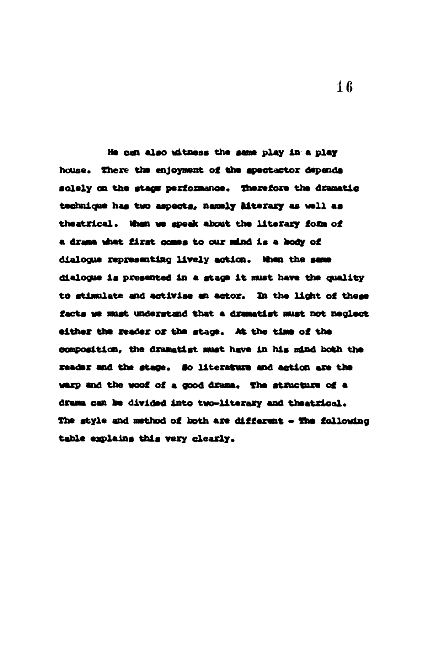He can also witness the same play in a play house. There the enjoyment of the apectactor depends solely on the stags performance. Therefore the dramatic technique has two aspects, namely hiterary as well as theatrical. When we speak about the literary form of a drama what first comes to our mind is a hody of dialogue representing lively action. When the same dialogue is presented in a stage it must have the quality to stimulate and activise an actor. In the light of these facts we must understand that a dramatist must not neglect either the reader or the stage. At the time of the composition, the dramatist must have in his mind both the reader and the stage. So literature and action are the warp and the woof of a good drama. The structure of a drama can be divided into two-literary and theatrical. The style and method of both are different - The following table explains this very clearly.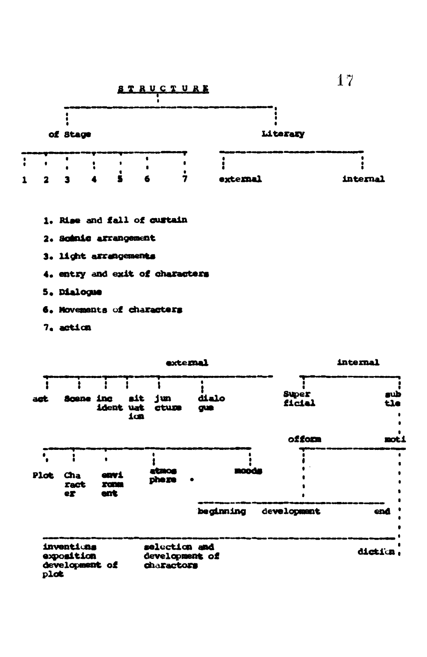

- 4. entry and exit of characters
- 5. Dialogue
- 6. Movements of characters
- 7. action

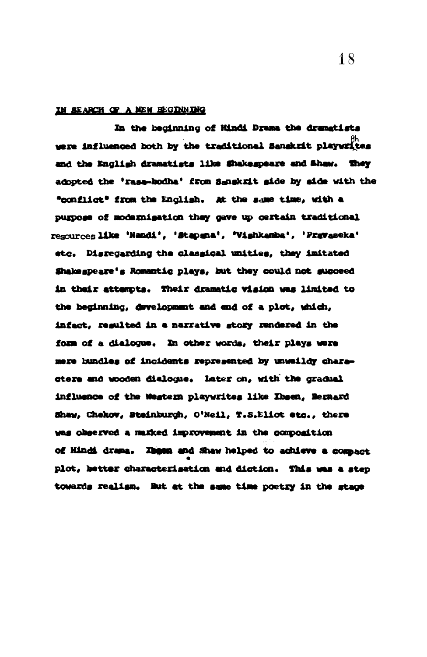#### IN SEARCH OF A NEW HEGINNING

In the beginning of Hindi Drama the dramatists were influenced both by the traditional Sanskrit playwrites and the English dramatists like Shakespeare and Shaw. They adopted the 'rasa-bodha' from Sanskrit side by side with the "conflict" from the English. At the same time, with a purpose of modernisation they gave up certain traditional resources like 'Nandi', 'Stapana', 'Vishkamba', 'Pravaseka' etc. Disregarding the classical unities, they imitated Shakespeare's Romantic plays, but they could not succeed in their attempts. Their dramatic vision was limited to the beginning, development and end of a plot, which, infact, resulted in a narrative story rendered in the form of a dialogue. In other words, their plays were mere bundles of incidents represented by unweildy charastere and wooden dialogue. Later on, with the gradual influence of the Western playwrites like Ibsen, Bernard Shaw, Chekov, Steinburgh, O'Neil, T.S.Eliot etc., there was observed a maxked improvement in the composition of Hindi drama. Ibeen and Shaw helped to achieve a compact plot, better characterisation and diction. This was a step towards realism. But at the same time poetry in the stace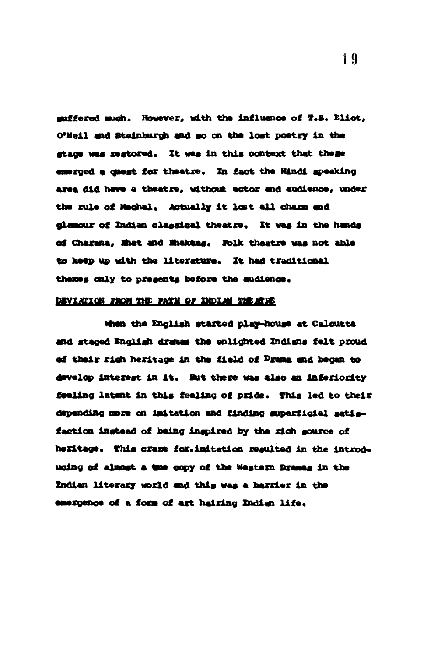suffered much. However, with the influence of T.S. Eliot. O'Neil and Steinburgh and so on the lost poetry in the stage was restored. It was in this context that these emerged a quest for theatre. In fact the Mindi speaking area did have a theatre, without actor and audience, under the rule of Mechal, Actually it lost all chann and glamour of Indian classical theatre. It was in the hands of Charana, Mat and Maktas. Folk theatre was not able to keep up with the literature. It had traditional themes only to presents before the sudience.

#### DEVIATION FROM THE PATH OF DUDING THE ATAE

When the English started play-house at Calcutta and staged English dramas the enlighted Indians felt proud of their rich heritage in the field of Drama and began to develop integest in it. But there was also an inferiority feeling latent in this feeling of pride. This led to their depending more on initation and finding superficial satisfaction instead of being inspired by the rich source of hexitage. This crase for.imitation regulted in the introduging of almost a tme copy of the Western Dramas in the Indian literary world and this was a barrier in the emergence of a form of art hairing Indian life.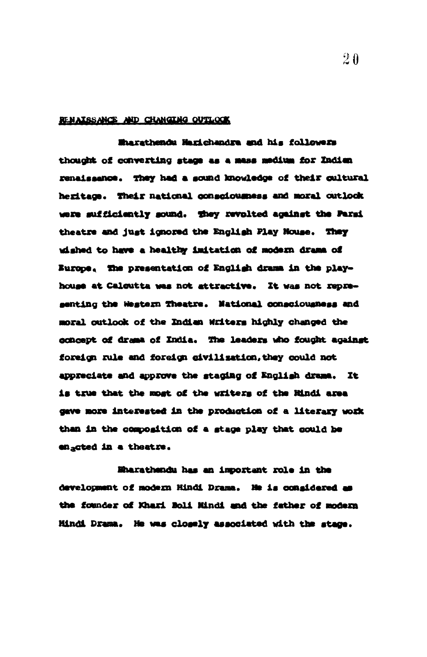#### RENAISSANCE AND CHANGING OUTLOOK

Marathendu Marichandra and his followers thought of converting stage as a mass medium for Indian renaissance. They had a sound knowledge of their cultural heritage. Their national consciousness and moral outlook were sufficiently sound. They revolted against the Parsi theatre and just ignored the English Play House. They wished to have a healthy imitation of modern drama of Europe. The presentation of English drama in the playhouse at Calcutta was not attractive. It was not representing the Western Theatre. National consciousness and moral outlook of the Indian Writers highly changed the concept of drama of India. The leaders who fought against foreign rule and foreign civilization, they could not appreciate and approve the staging of English drama. It is true that the most of the writers of the Rindi area gave more interested in the production of a literary work than in the composition of a stage play that could be enacted in a theatre.

Eharathendu has an important role in the development of modern Hindi Drama. He is considered as the founder of Khari Boli Mindi and the father of modern Hindi Drama. He was closely associated with the stage.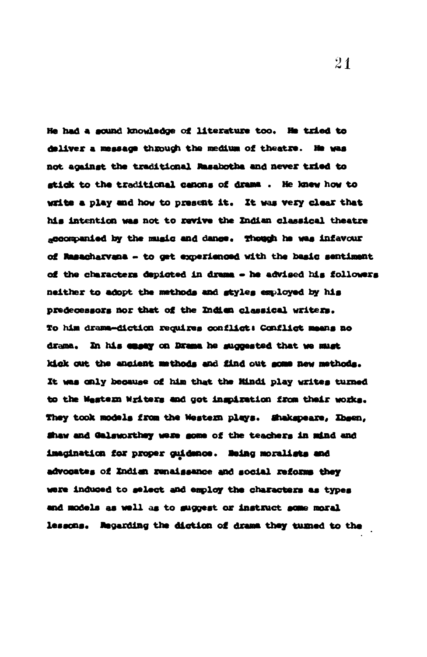He had a sound knowledge of literature too. He tried to deliver a message through the medium of theatre. He was not against the traditional Rasabotha and never tried to stick to the traditional canons of drama. He knew how to write a play and how to present it. It was very clear that his intention was not to revive the Indian classical theatre accompanied by the music and dance. Though he was infavour of Rasacharvana - to get experienced with the basic sentiment of the characters depicted in drama - he advised his followers neither to adopt the methods and styles employed by his predecessors nor that of the Indian classical writers. To him drama-diction requires conflict: Conflict meens no drama. In his easay on Drama he suggested that we must kick out the ancient methods and find out some new methods. It was only because of him that the Mindi play writes turned to the Western Writers and got inspiration from their works. They took models from the Western plays. Shakspeare, Ibsen, Shaw and Galsworthey were some of the teachers in mind and imagination for proper guidence. Being moralists and advocates of Indian renaissance and social reforms they were induced to select and employ the characters as types and models as well as to suggest or instruct some moral lessons. Regarding the diction of drama they turned to the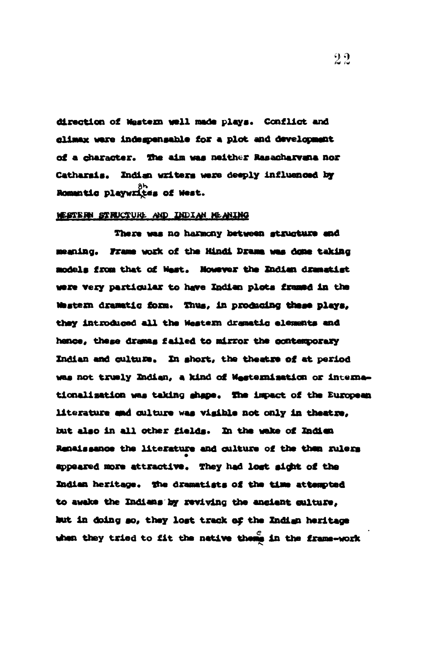direction of Western well made plays. Conflict and climax were indegrensable for a plot and development of a character. The aim was neither Rasacharvana nor Catharais. Indian writers were deeply influenced by Bomantic playwrites of West.

#### WESTERN STRUCTURE AND INDIAN MEANING

There was no harmony between structure and meaning. Frame work of the Hindi Drame was done taking models from that of West. Nowever the Indian dramatist were very particular to have Indian plots framed in the Western dramatic form. Thus, in producing these plays, they introduced all the Western dramatic elements and hence, these dramas failed to mirror the contemporary Indian and culture. In short, the theatre of at period was not truely Indian, a kind of Westernisation or internationalization was taking shape. The impact of the European literature and culture was visible not only in theatre. but also in all other fields. In the wake of Indien Renaissance the literature and culture of the then rulers appeared more attractive. They had lost sight of the Indian heritage. The dramatists of the time attempted to awake the Indians by reviving the ancient culture. but in doing so, they lost track of the Indian heritage when they tried to fit the native thems in the frame-work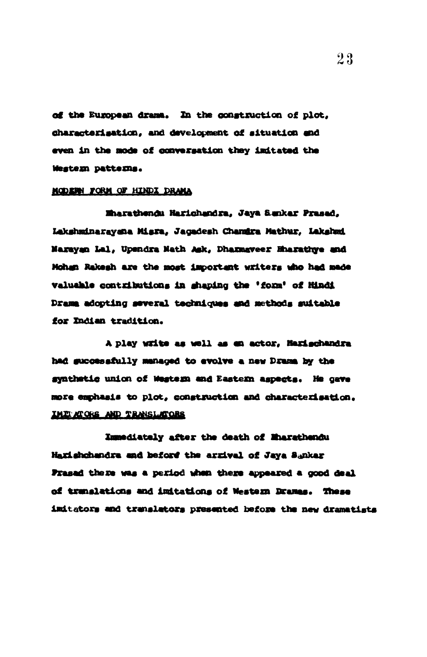of the European drame. In the construction of plot, characterisation, and development of situation and even in the mode of conversation they imitated the Western patterns.

#### MODERN FORM OF HINDI DRAMA

Eharathendu Harichandra, Jaya Sankar Prasad, Lakshminarayana Misra, Jaqadesh Chamira Mathur, Lakshmi Narayan Lal, Upendra Nath Ask, Dhamaveer Hharathye and Mohan Rakesh are the most important writers who had made valuable contributions in shaping the 'form' of Hindi Drama adopting several techniques and methods suitable for Indian tradition.

A play write as well as en actor, Harischandra had successfully managed to evolve a new Drama by the synthetic union of Western and Eastern aspects. He gave more emphasis to plot, construction and characterisation. IMIT ATORS AND TRANSLATORS

Immediately after the death of Mharathendu Harishchandra and beford the arrival of Jaya Sankar Frasad there was a period when there appeared a good deal of translations and imitations of Western Dramas. These imitators and translators presented before the new dramatists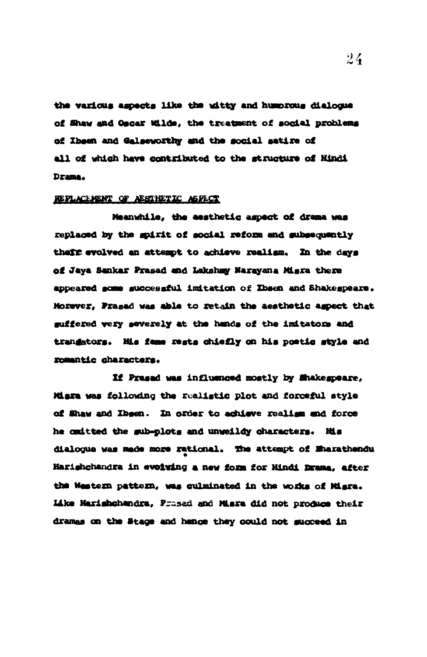the various aspects like the witty and humorous dialogue of Shaw and Oscar Wilde, the treatment of social problems of Ibsen and Galseworthy and the social satire of all of which have contributed to the structure of Hindi Drama.

#### REPLACEMENT OF AESTHETIC ASPECT

Meanwhile, the aesthetic aspect of drama was replaced by the spirit of social reform and subsequently their evolved an attempt to achieve realism. In the days of Jaya Sankar Prasad and Lakshay Narayana Misra there appeared some successful initation of Ibsen and Shakespeare. Morever, Prased was able to retain the aesthetic aspect that suffered very severely at the hands of the imitators and trangators. His fame rests chiefly on his poetic style and romantic characters.

If Prasad was influenced mostly by Shakespeare, Miska was following the realistic plot and forceful style of Shaw and Ibsen. In order to achieve realism and force he cmitted the sub-plots and unweildy characters. His dialogue was made more rational. The attempt of Eharathendu Harishchandra in evolving a new form for Hindi Drama, after the Western pattern, was culminated in the works of Miara. Like Marishchandra, Prased and Misra did not produce their dramas on the Stage and hence they could not succeed in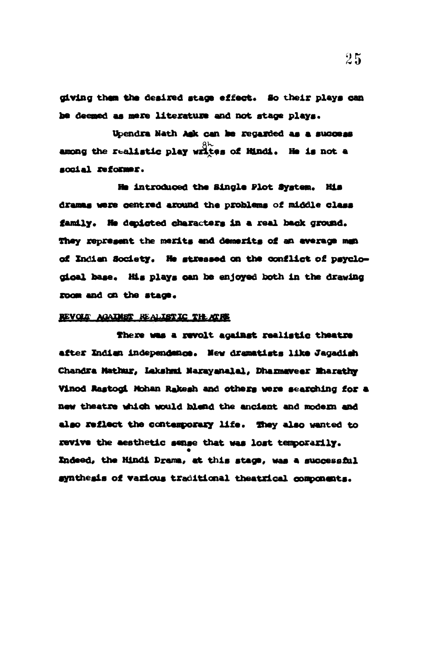giving them the desired stage effect. So their plays can be deemed as mere literature and not stage plays.

Upendra Nath Ask can be regarded as a success among the realistic play writes of Hindi. He is not a social reformer.

He introduced the Single Plot System. His dramas were centred around the problems of middle class family. He depicted characters in a real back ground. They represent the merits and demerits of an average man of Indian Society. He stressed on the conflict of psyclogical base. His plays can be enjoyed both in the drawing room and on the stage.

#### REVOLT AGAINST REALISTIC THEATRE

There was a revolt against realistic theatre after Indian independance. New dramatists like Jagadish Chandra Mathur, Lakshmi Narayanalal, Dharmaveer Eharathy Vinod Rastogi Mohan Rakesh and others were searching for a new theatre which would blend the ancient and modern and also reflect the contemporary life. They also wanted to revive the aesthetic sense that was lost temporarily. Indeed, the Hindi Drama, at this stage, was a successful synthesis of various traditional theatrical components.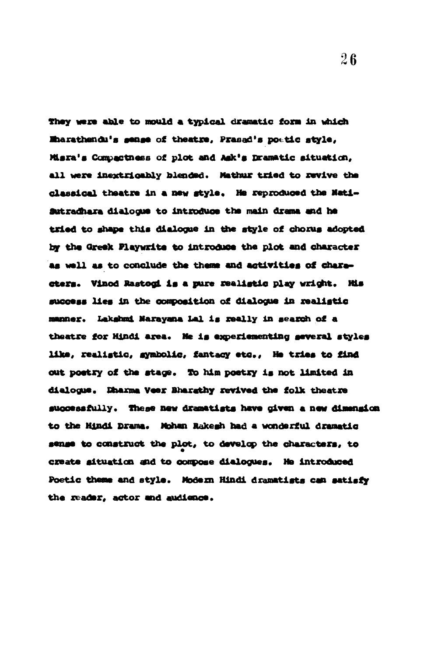They were able to mould a typical dramatic form in which Mharathendu's sense of theatre, Prasad's poetic style, Misra's Compactness of plot and Ask's Dramatic situation, all were inextricably blended. Mathur tried to revive the classical theatre in a new style. He reproduced the Nati-Sutradhara dialogue to introduce the main drama and he tried to shape this dialogue in the style of chorus adopted by the Greek Playwrite to introduce the plot and character as well as to conclude the theme and activities of characters. Vinod Rastogi is a pure realistic play wright. His success lies in the composition of dialogue in realistic manner. Lakshmi Narayana Lal is really in search of a theatre for Hindi area. Ne is experiementing several styles like, realistic, symbolic, fantacy etc., He tries to find out poetry of the stage. To him poetry is not limited in dialogue. Dharma Veer Bharathy revived the folk theatre successfully. These new dramatists have given a new dimension to the Hindi Drama. Mohan Rakesh had a wonderful dramatic sense to construct the plot, to develop the characters, to create situation and to compose dialogues. He introduced Poetic theme and style. Modern Hindi dramatists can satisfy the reader, actor and audience.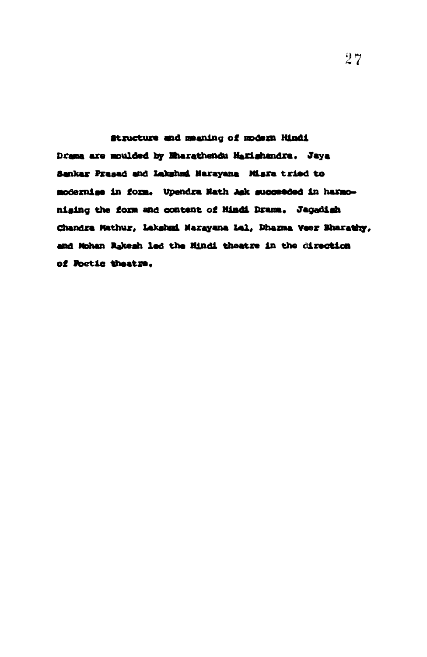Structure and meaning of modern Hindi Drama are moulded by Mharathendu Marishandra. Jaya Sankar Prasad and Lakshad Narayana Misra tried to modernise in form. Upendra Nath Ask succeeded in harmonising the form and content of Hindi Drama. Jagadish Chandra Mathur, Lakshmi Narayana Lal, Dharma Veer Bharathy, and Mohan Rakesh led the Mindi theatre in the direction of Foetic theatre.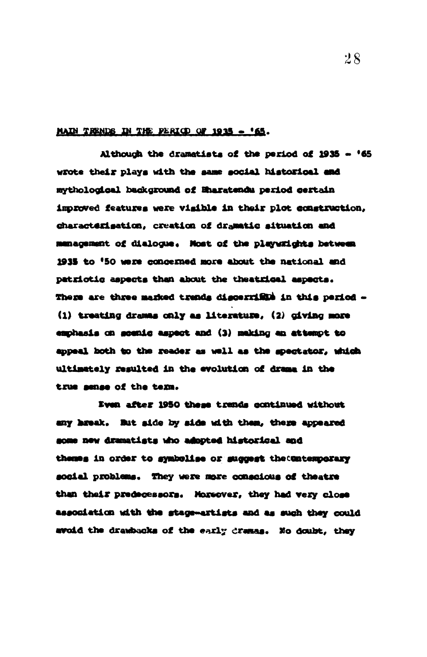#### MAIN TRENDS IN THE PERIOD OF 1935 - '65.

Although the dramatists of the period of 1935 - '65 wrote their plays with the same social historical and mythological background of Eharatendu period certain improved features were visible in their plot construction. characterisation, creation of dramatic situation and munagement of dialogue. Nost of the playwrights between 1935 to '50 were concerned more about the national and patriotic aspects than about the theatrical aspects. There are three marked trends discertified in this period -(1) treating dramas only as literature, (2) civing more emphasis on geenig aspect and (3) making an attempt to appeal both to the reader as well as the spectator, which ultimately resulted in the evolution of drama in the true sense of the term.

Even after 1950 these trends continued without any break. But side by side with them, there appeared some new dramatists who adopted historical and themes in order to symbolise or suggest the Contemporary social problems. They were more conscious of theatre than their predecessors. Moreover, they had very close association with the stage-artists and as such they could avoid the drawbacks of the early dramas. No doubt, they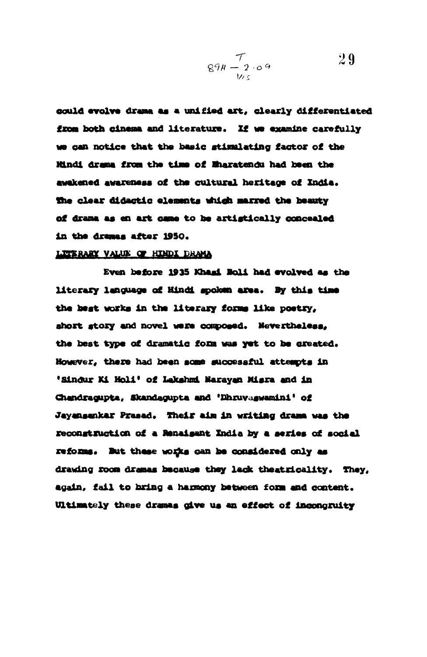$$
\frac{7}{894-2.09} \qquad \qquad 29
$$

could evolve drame as a unified art, clearly differentiated from both cinema and literature. If we examine carefully no can notice that the basic atillllating tactor oi the ltindi drama from the time of Enaratendu had been the awakened awareness of the cultural heritage of India. the clear didactic elements which marred the beauty of drama as en art came to he artistically concealed in the dramas after 1950.

#### LITERARY VALUE OF HINDI DRAMA

Even bafore 1935 Khami Boli had evolved as the literary language of Hindi spoken area. By this time the best works in the literary forms like poetry, short story and novel were composed. Nevertheless, the best type of dramatic form was yet to be created. However, there had been some successful attempts in 'Sindur Ki Holi' of Lakshmi Narayan Misra and in Chandragupta, Skandagupta and 'Dhruvaswamini' of Jayansankar Prasad. Their aim in writing drama was the reconstruction of a Renaisant India by a series of social reforms. But these works can be considered only as drawing room dramas hooause they lack theatricality. They, again, fail to bring a harmony between form and content. Ultimately these dramas give us an effect of incongruity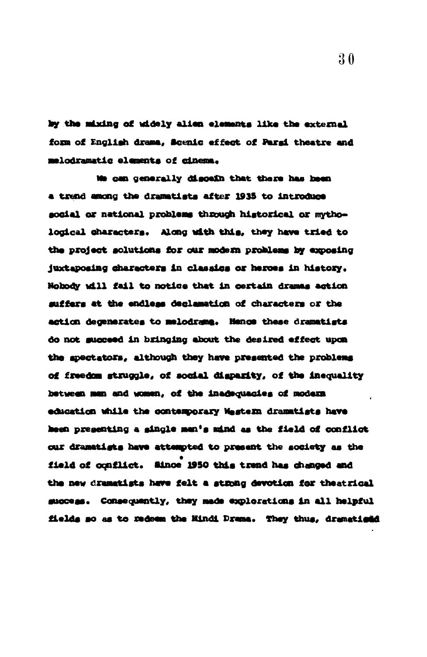by the mixing of uidely alien elements like the external form of English drama, Scenic effect of Parai theatre and melodramatic elements of cinema.

We can generally discein that there has been a trend among the dramatists after 1935 to introduce social or national problems through historical or mythological characters. Along with this, they have tried to the project solutions for our modern problems by exposing juxtaposing characters in classics or heroes in history. Nobody will fail to notice that in certain dramas action suffers at the endless declamation of characters or the action degenerates to melodrams. Hence these dramatists do not succeed in bringing about the desired effect upon the spectators, although they have presented the problems of freedom struggle, of social disparity, of the inequality between man and women, of the inadequacies of modern education while the contemporary Wastern dramatists have heen presenting a single man's mind as the field of conflict our dramatigts have attempted to present the society as the field of conflict. Since 1950 this trend has changed and the new dramatists have felt a strong devotion for theatrical success. Consequently, they made explorations in all helpful fields so as to medeem the Hindi Drama. They thus, dramatical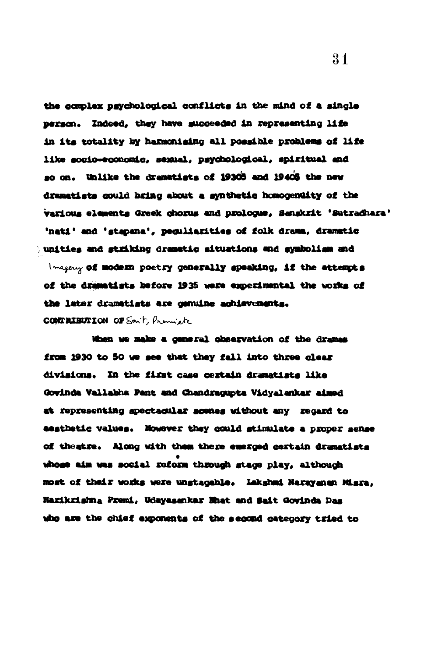the complex psychological conflicts in the mind of a single person. Indeed, they have succeeded in representing life in its totality by harmonising all possible problems of life like socio-economic, sexual, psychological, spiritual and so on. Unlike the dramatists of 19305 and 1940S the new dramatists could bring about a synthetic homogentity of the various elements Greek chorus and prologue, Sanskrit 'Sutradhara' 'nati' and 'stapana', peguliarities of folk drama, dramatic unities and striking dramatic situations and symbolism and I magery of modern poetry generally speaking, if the attempts of the dramatists before 1935 were experimental the works of the later dramatists are genuine achievements. **CONTRIBUTION OF Son't, Premiete** 

When we make a general observation of the drames from 1930 to 50 we see that they fall into three clear divisions. In the first case certain dramatists like Govinda Vallabha Pant and Chandragupta Vidyalankar aimed at representing spectacular scenes without any regard to aesthetic values. However they could stimulate a proper sense of theatre. Along with them there emerged certain dramatists whose aim was social reform through stage play, although most of their works were unstageble. Lakshad Narayanan Misra, Harikrishna Premi, Udayasankar Mhat and Sait Govinda Das who are the chief exponents of the second category tried to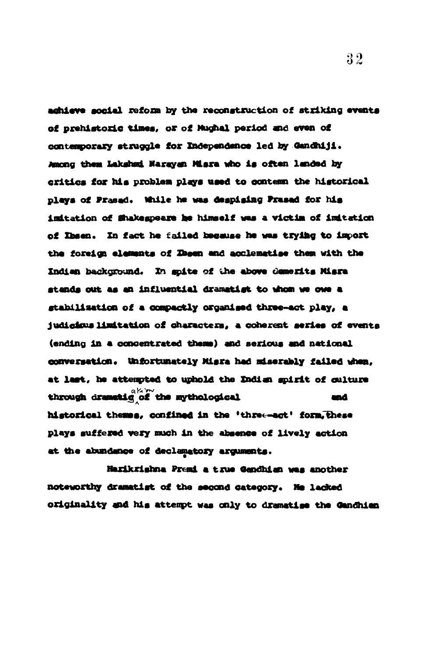aghieve social reform by the reconstruction of striking events of prehistoric times, or of Mughal period and even of contemporary struggle for Independence led by Gandhiji. Among them Lakshmi Narayan Misra who is often landed by critics for his problem plays used to contemn the historical plays of Prased. While he was despising Prased for his imitation of Shakespeare he himself was a victim of imitation of Ibsen. In fact he failed because he was trying to import the foreign elements of Ibsen and acclematise them with the Indian background. In spite of the above demerits Misra stands out as an influential dramatist to whom we owe a stabilization of a compactly organised three-act play, a judicious limitation of characters, a coherent series of events (ending in a concentrated thems) and serious and national conversation. Unfortunately Misra had miserably failed when, at last, he attempted to uphold the Indian spirit of culture through dramatig of the mythological and historical themes, confined in the 'three-act' form, these plays suffered very much in the absence of lively action at the abundance of declamatory arguments.

Harikrishna Premi a true Gendhian was another noteworthy dramatist of the second category. He lacked originality and his attempt was only to dramatise the Gandhien

 $32\,$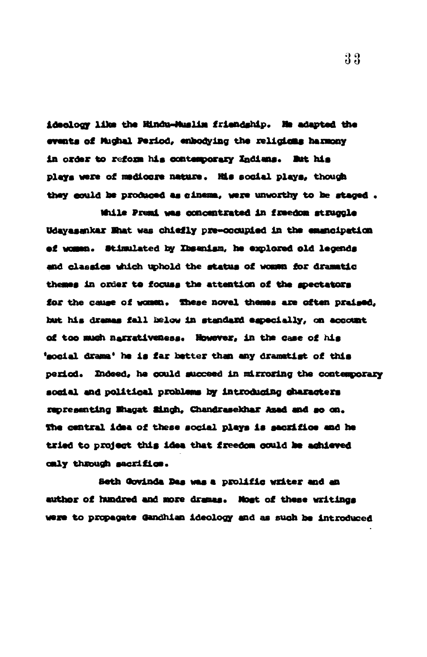ideology like the Hindu-Muslim friendship. He adapted the events of Mughal Period, enhodying the religions harmony in order to reform his contemporary Indians. But his plays were of medicare nature. His social plays, though they could be produced as cinema, were unworthy to be staged.

While Premi was concentrated in freedom struggle Udayasankar Mhat was chiefly pre-occupied in the emencipation ef women. Stimulated by Ibsanism, he explored old legends and classics which uphold the status of woman for dramatic themes in order to focuss the attention of the spectators for the cause of women. These novel themes are often praised, but his dramas fall helow in standard especially, on account of too much narrativeness. However, in the case of his 'social drama' he is far better than any dramatist of this period. Indeed, he could succeed in mirroring the contemporary social and political problems by introducing characters representing Ehagat Singh. Chandrasekhar Azad and so on. The central idea of these social plays is sacrifice and he tried to project this idea that freedom could be achieved caly through sacrifice.

Seth Govinda Das was a prolific writer and an author of hundred and more dramas. Nost of these writings were to propagate Gandhian ideology and as such be introduced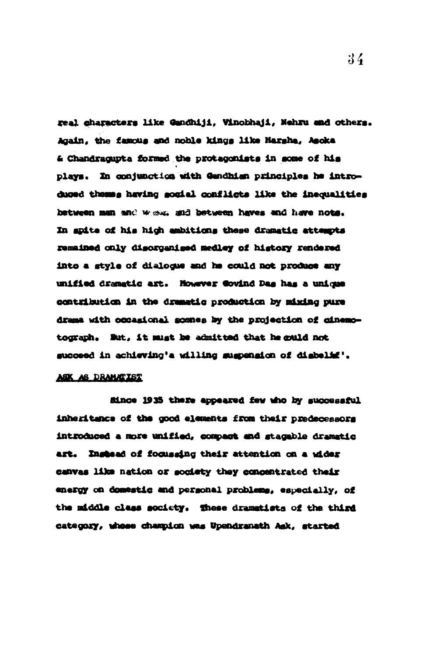real characters like Gandhiji, Vinobhaji, Nehru and others. Again, the famous and noble kings like Harsha, Asoka & Chandragupta formed the protagonists in some of his plays. In conjunction with Gendhian principles he introduced themes having social conflicts like the inequalities between man and whole, and between haves and have note. In apite of his high ambitions these dramatic attempts remained only disorganised medley of history rendered into a style of dialogue and he could not produce any unified dramatic art. However Govind Das has a unique contribution in the dramatic production by mixing pure drame with occasional somes by the projection of cinemotograph. But, it must be admitted that he could not succeed in achieving's willing suspension of disbelis'.

#### ASK AS DRAMATIST

Since 1935 there appeared few who by successful inheritance of the good elements from their predecessors introduced a more unified, compact and stagable dramatic art. Instead of focusaing their attention on a wider canvas like nation or society they concentrated their energy on domestic and personal problems, especially, of the middle class society. These dramatists of the third category, whose champion was Upendranath Ask, started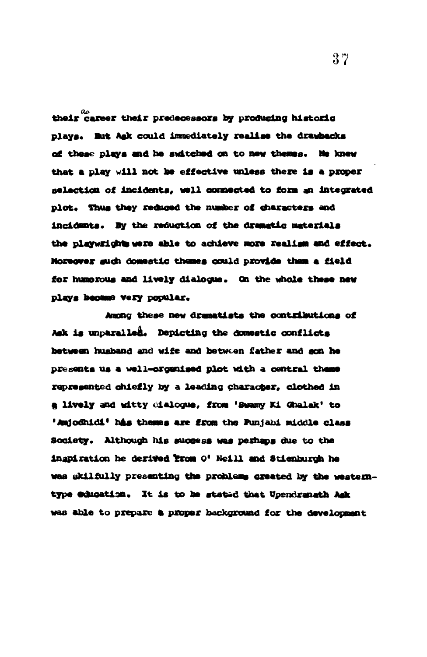their career their predecessors by producing historic plays. But Ask could immediately realise the drawbacks of these plays and he switched on to new thems. He knew that a play will not be effective unless there is a proper selection of incidents, well connected to form an integrated plot. Thus they reduced the number of characters and incidents. By the reduction of the dramatic materials the playwrights were able to achieve more realism and effect. Moreover such domestic themes could provide them a field for humorous and lively dialogue. On the whole these new plays became very popular.

Aughg these new dramatists the contributions of Ask is unparalled. Depicting the domestic conflicts between husband and wife and between father and son he presents us a well-organised plot with a central theme represented chiefly by a leading character, clothed in a lively and witty dialogue, from 'Swamy Ki Ghalak' to 'Amjodhidi' his themes are from the Punjabi middle class Society. Although his success was perhaps due to the ingpiration he derived trom 0' Neill and Stienburch he was skilfully presenting the problems created by the westerntype education. It is to be stated that Upendranath Ask was able to prepare a proper background for the development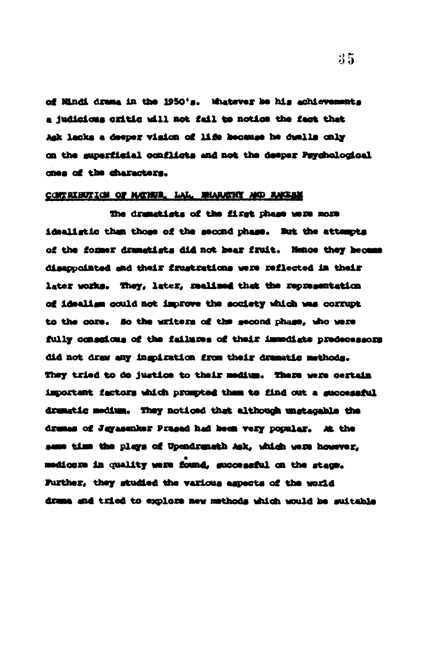of Hindi drama in the 1950's. Whatever be his achievements a judicious critic will not fail to notice the fact that Ask lacks a deeper vision of life hecause he dwells only on the superficial conflicts and not the deeper Psychological ones of the characters.

#### CONTRIBUTION OF MATHUR, LAL. MIARATHY AND RACES

The dramatists of the first phase were more idealistic than those of the second phase. But the attempts of the former dramatists did not hear fruit. Hence they hecame disappointed and their frustrations were reflected in their later works. They, later, realised that the representation of idealism could not improve the society which was corrupt to the core. So the writers of the second phase, who were fully consolons of the failures of their immediate predecessors did not draw any ingpiration from their dramatic methods. They tried to do justice to their medium. There were certain important factors which prompted them to find out a successful dramatic medium. They noticed that although unstagable the dramas of Jayasanker Prasad had been very popular. At the same time the plays of Upendranath Ask, which were however. medicare in quality were found, successful on the stace. Further, they studied the various aspects of the world drame and tried to explore new methods which would be suitable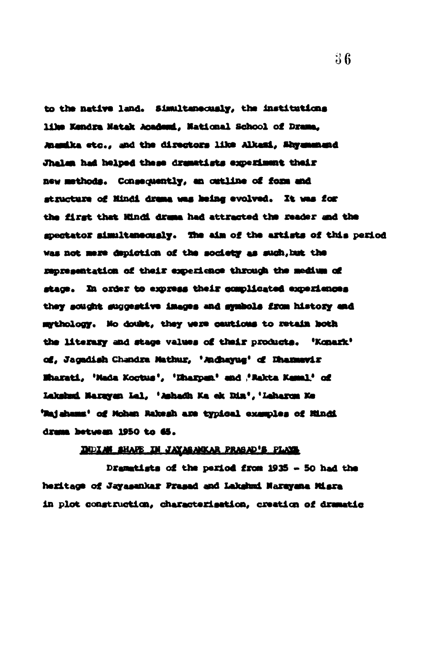to the native land. Simultaneously, the institutions like Kendra Natak Academi, National School of Drama, Anamika etc., and the directors like Alkazi, Shyummand Jhalen had helped these dramatists experiment their new methods. Consequently, an outline of form and structure of Mindi drama was heing evolved. It was for the first that Hindi drama had attracted the reader and the spectator simultaneously. The aim of the artists of this period was not mere depiction of the society as such, but the representation of their experience through the medium of stage. In order to express their complicated experiences they sought suggestive images and symbols from history and mythology. No doubt, they were cautious to retain both the literary and stage values of their products. 'Konark' of, Jagadish Chandra Mathur, 'Audusyue' of Dhammevir Wharati, 'Mada Koctus', 'Kharpun' and 'Rakta Kamal' of Lakshad Narayan Lal, 'Ashadh Ka ek Din', 'Leharun Ke 'Majahams' of Mohan Rakesh are typical examples of Mindi drama between 1950 to 65.

#### DULLAN BHAFE IN JAYASANKAR PRASAD'S PLAYS

Dramatists of the period from 1935 - 50 had the heritage of Jayasankar Prasad and Lakshmi Narayana Misra in plot construction, characterisation, creation of dramatic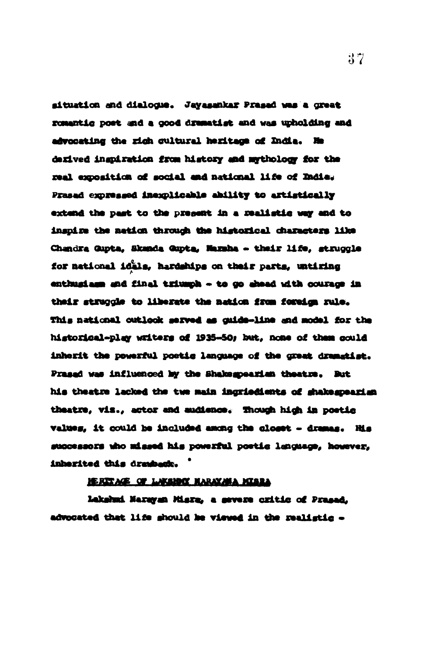situation and dialogue. Jayasankar Prasad was a great romantic post and a good dramatist and was upholding and advocating the righ cultural heritage of India. He derived inspiration from history and mythology for the real exposition of social and national life of India. Prased expressed inexplicable ability to artistically extend the past to the present in a melistic way and to inspire the netion through the historical characters like Chandra Gupta, Skanda Gupta, Nazaha - their life, struggle for national idals, hardships on their parts, untiring enthusiasm and final triumph - to go ahead with courage in their struggle to liberate the nation from foreign rule. This national outlook served as cuide-line and model for the historical-play writers of 1935-50; but, none of them could inherit the powerful postig language of the great dramatist. Prased was influenced by the Shakespearian theatre. But his theatre lacked the two main ingriedients of shakespearian theatre, viz., actor and audience. Though high in poetic values, it could be included among the closet - dramas. His successors who missed his powerful postic language, however, inherited this drawbadt.

#### HERRY AGE OF LAKENDO MARAYAMA MISRA

Lakshad Narayan Misra, a severe critic of Prasad. advocated that life should be viewed in the realistic -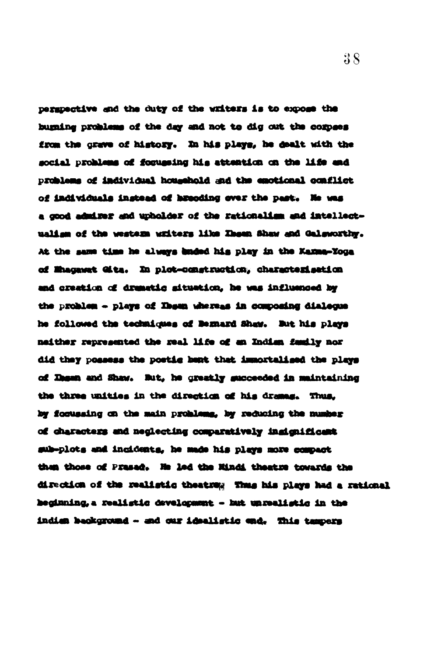perspective and the duty of the writers is to expose the bugaing problems of the day and not to dig out the corpses from the grave of history. In his plays, he dealt with the social problems of forugaing his attention on the life and problems of individual household and the emotional conflict of individuals instead of hesoding over the past. He was a good admirer and upholder of the rationalism and intellectualism of the western writers like Ihean Shaw and Galsworthy. At the same time he always unded his play in the Kama-Yoga of Magawat Gita. In plot-construction, characterisation and creation of dramatic situation, he was influenced by the problem - plays of Ibsen whereas in composing dialegue he followed the techniques of Demard Shaw. But his plays neither represented the real life of an Indian family nor did they possess the postig bent that immortalised the plays of Ihgan and Shaw. But, he greatly succeeded in maintaining the three unities in the direction of his dramas. Thus, by focusaing on the main problems, by reducing the number of characters and neglecting comparatively ingignificant sub-plots and incidents, he made his plays more compact then those of Prased. He led the Mindi theatre towards the direction of the realistic theatres Thus his plays had a rational heginning, a realistic development - hat unrealistic in the indien beokground - and our idealistic end. This tempers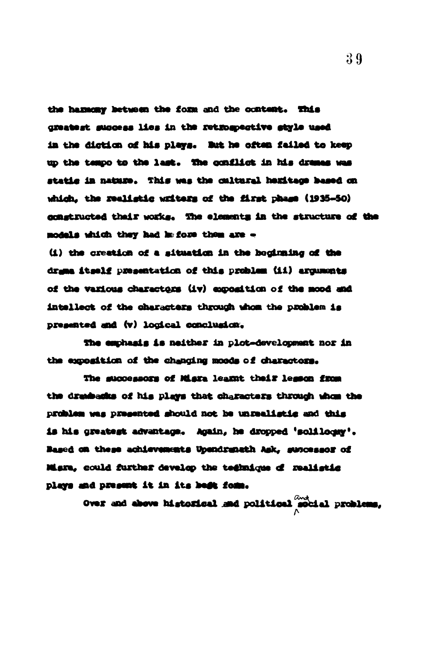the hammony between the form and the content. This greatest success lies in the retrospective style used in the diction of his plays. But he often failed to keep up the tempo to the last. The conflict in his drames was static in nature. This was the cultural hemitage based on which, the realistic writers of the first phase (1935-50) constructed thair works. The elements in the structure of the models which they had before them are -

(i) the creation of a situation in the heginaing of the drame itself presentation of this problem (ii) arguments of the various charactors (iv) exposition of the mood and intellect of the characters through whom the problem is presented and (v) logical conclusion.

The emphasis is neither in plot-development nor in the exposition of the changing moods of charactors.

The successors of Misra learnt their lesson from the dreshedus of his plays that characters through whom the problem was presented should not be unrealistic and this is his greatest advantage. Again, he dropped 'soliloomy'. Based on these achievements Upendranath Ask, suncessor of Misra, could further develop the technique of realistic plays and present it in its best form.

over and above historical and political modial problems,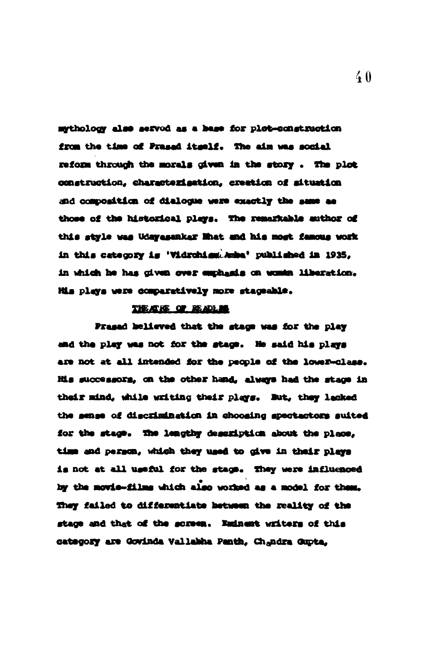mythology also served as a hase for plot-construction from the time of Prased itself. The aim was social reform through the morals given in the story. The plot construction, characterisation, creation of situation and composition of dialogue were exactly the same as those of the historical plays. The remarkable author of this style was Udayesaker Mhat and his most famous work in this category is 'Vidrohiem'. Amba' published in 1935. in which he has given over emphasis on women liberation. His plays were comparatively more stageable.

#### THE AT RE OF READERS

Prasad helieved that the stags was for the play and the play was not for the stace. He said his plays are not at all intended for the people of the lower-class. His successors, on the other hand, always had the stage in their mind, while writing their plays. But, they lacked the sense of discrimination in choosing spectactors suited for the stage. The leagthy description about the place. time and person, which they used to give in their plays is not at all useful for the stags. They were influenced by the movie-films which also worked as a model for them. They failed to differentiate between the reality of the stage and that of the soreen. Eminest writers of this category are Govinda Vallabha Panth. Chandra Guota.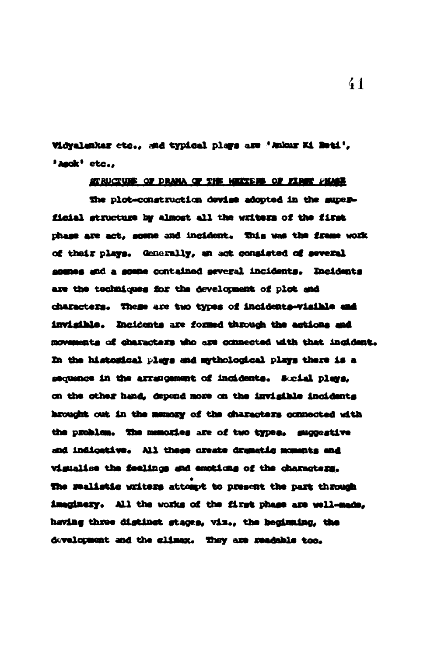Vidyalenkar etc., and typical plays are 'Ankar Ki Beti'. 'Anck' etc.,

#### STRUCTURE OF DRAMA OF THE METERS OF FIRST PHASE

The plot-construction devise adopted in the superficial structure by almost all the writers of the first phase are act, some and incident. This was the frame work of their plays. Generally, an act consisted of several sounes and a some contained several incidents. Incidents are the techniques for the development of plot and characters. These are two types of incidents-visible and invigible. Incidents are formed through the actions and movements of characters who are connected with that incident. In the histogical plays and mythological plays there is a sequence in the arrangement of incidents. Sucial plays, on the other hand, depend more on the invigible incidents hrought out in the memory of the characters connected with the problem. The memories are of two types. suggestive and indicative. All these create dramatic moments and vigualise the feelings and emotions of the characters. The realistic writers attempt to present the part through imaginery. All the works of the first phase are well-made, having three distinct stages, viz., the beginning, the development and the slimax. They are readable too.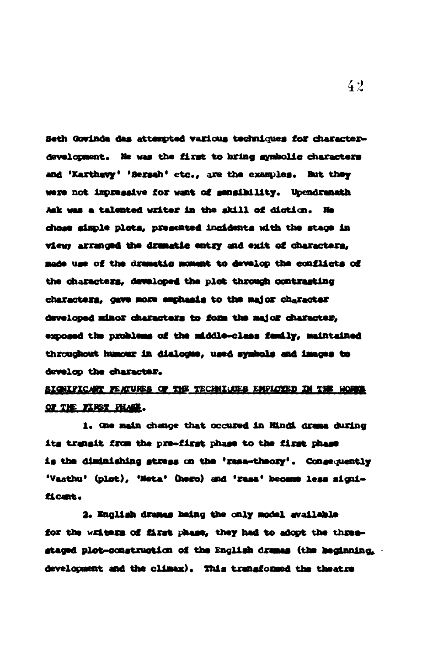Seth Govinda das attempted various techniques for characterdevelopment. He was the first to bring symbolic characters and 'Karthavy' 'Sersah' etc., are the examples. But they were not impressive for want of sensibility. Upendranath Ask was a talented writer in the skill of diction. He chose simple plots, presented incidents with the stage in view arranged the dramatic entry and exit of characters, made use of the dramatic moment to develop the conflicts of the characters, developed the plot through contrasting characters, gave more emphasis to the major character developed minor characters to form the major character. exposed the problems of the middle-class family, maintained throughout humour in dialogue, used symbols and images to develop the character.

# SIGNIFICANT FEATURES OF THE TECHNICUES EMPLOYED IN THE WORKS OF THE FIRST FHASE.

1. One main change that occured in Hindi drama during its transit from the pre-first phase to the first phase is the diminishing stress on the 'rese-theory'. Consequently 'Vasthu' (plot), 'Meta' (hero) and 'rasa' became less significant.

2. English dramas being the only model available for the writers of first phase, they had to adopt the threestaged plot-construction of the English dramas (the heginning. . development and the climax). This transformed the theatre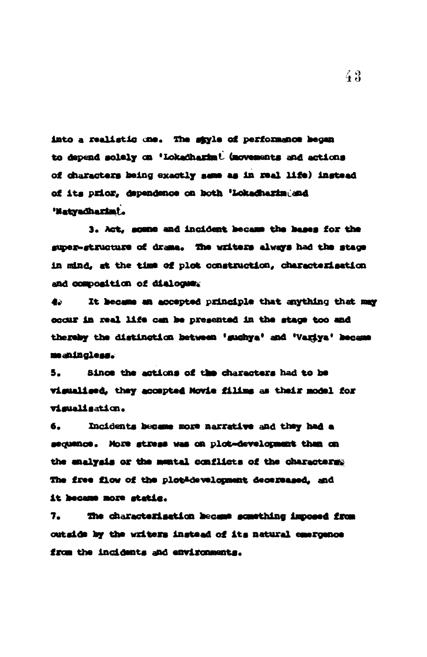into a realistic one. The style of performance becan to depend solely on 'Lokadharim' (movements and actions of characters being exactly same as in real life) instead of its prior, dependence on both 'Lokadharimiand 'Natyadharimi.

3. Act. some and incident became the bases for the super-structure of drame. The writers always had the stage in mind, at the time of plot construction, characterisation and composition of dialogue.

It became an accepted principle that anything that may 45 occur in real life can be presented in the stace too and thereby the distingtion between 'sughya' and 'Variya' became meaningless.

Since the actions of the characters had to be 5. visualised, they accepted Novie filing as their model for vimualisation.

Incidents became more narrative and they had a 6. sequence. More stress was on plot-development than on the enalysis or the mental conflicts of the characters: The free flow of the plot-development decereased, and it became more static.

 $7.$ The characterisation became something imposed from outside by the writers instead of its natural emergence from the incidents and environments.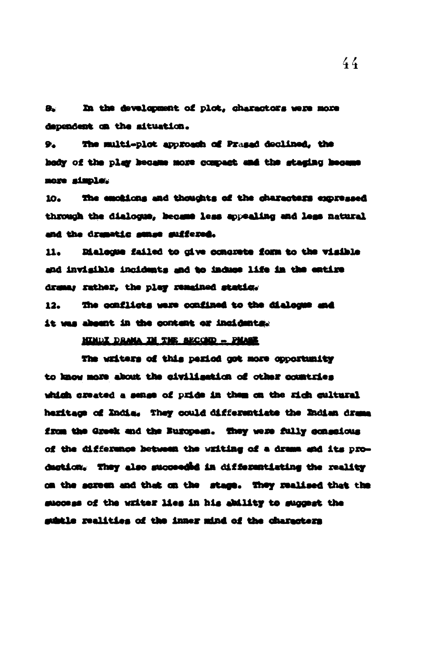In the development of plot, charactors were more 8. dependent on the situation.

The multi-plot approach of Prasad declined, the 92 hody of the play hecame more compact and the staging hecame nore simple.

The emckions and thoughts of the characters expressed 10. through the dialogue, became less appealing and less natural and the dramatic sense suffered.

Dialogue failed to give concrete form to the visible 11. and invigible incidents and to induce life in the entire dramar rather, the play remained static.

 $12.$ The conflicts were confined to the dialogue and it was abount in the content or incidents.

#### NINDI DRAMA IM THE SECOND - PMASE

The witters of this period got more opportunity to know more about the civilisation of other countries which created a sense of pride in them on the rich cultural heritage of India. They could differentiate the Indian drama from the Greek and the Buropesn. They were fully consolous of the difference between the writing of a drama and its production. They also succeeded in differentiating the reality on the screen and that on the stage. They realised that the success of the writer lies in his ability to suggest the gubtle realities of the inner mind of the characters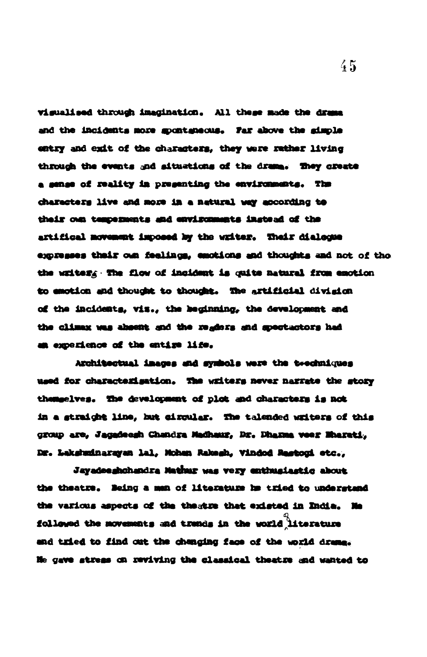vigualised through imagination. All these made the drama and the incidents more spontaneous. Far above the simple entry and exit of the characters, they were rather living through the events and situations of the drams. They create a sense of reality in presenting the environments. The characters live and more in a natural way according to their oun temperments and environments instead of the artifical movement imposed by the writer. Their dialogue expresses their oun feelings, emotions and thoughts and not of tho the writers: The flow of incident is quite natural from emotion to emotion and thought to thought. The artificial division of the incidents, vis., the beginning, the development and the climax was absent and the regions and spectactors had an experience of the entire life.

Architectual images and symbols were the twechniques used for characterisation. The writers never narrate the story themselves. The development of plot and characters is not in a straight line, but circular. The talended writers of this group are, Jagadeesh Chandra Madhaur, Dr. Dhanna veer Mharati, Dr. Lekshminarayan lal, Mohan Rakesh, Vindod Rastoni etc.,

Jayadeeghchandra Mathur was very enthusiastic about the theatre. Being a man of literature he tried to understand the various aspects of the thestre that existed in India. No followed the movements and trands in the world literature and tried to find out the chenging face of the world drame. Ne gave stress on reviving the classical theatre and wanted to